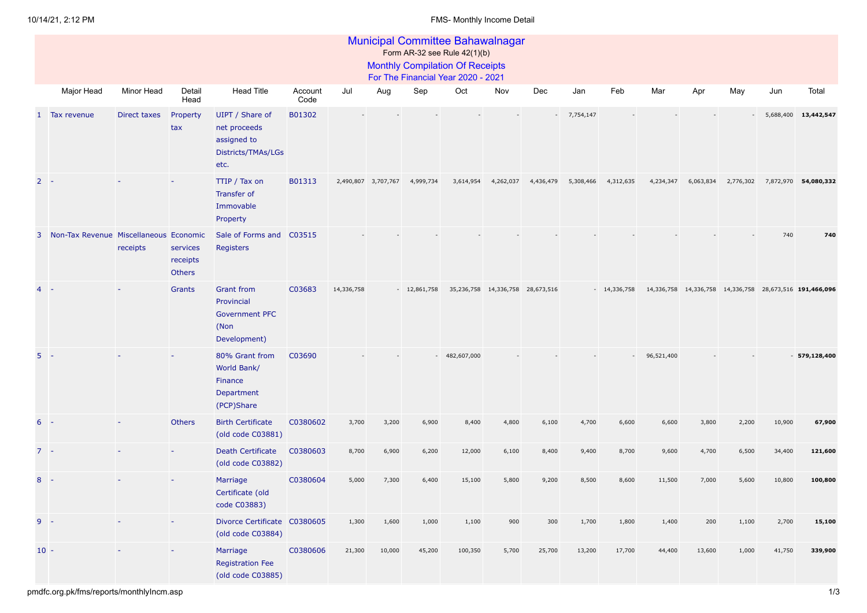|              | <b>Municipal Committee Bahawalnagar</b><br>Form AR-32 see Rule 42(1)(b) |              |                                       |                                                                                  |                 |            |                     |               |             |           |                                  |           |                          |            |           |           |                                                             |                |
|--------------|-------------------------------------------------------------------------|--------------|---------------------------------------|----------------------------------------------------------------------------------|-----------------|------------|---------------------|---------------|-------------|-----------|----------------------------------|-----------|--------------------------|------------|-----------|-----------|-------------------------------------------------------------|----------------|
|              | <b>Monthly Compilation Of Receipts</b>                                  |              |                                       |                                                                                  |                 |            |                     |               |             |           |                                  |           |                          |            |           |           |                                                             |                |
|              | For The Financial Year 2020 - 2021                                      |              |                                       |                                                                                  |                 |            |                     |               |             |           |                                  |           |                          |            |           |           |                                                             |                |
|              | Major Head                                                              | Minor Head   | Detail<br>Head                        | <b>Head Title</b>                                                                | Account<br>Code | Jul        | Aug                 | Sep           | Oct         | Nov       | Dec                              | Jan       | Feb                      | Mar        | Apr       | May       | Jun                                                         | Total          |
| $\mathbf{1}$ | Tax revenue                                                             | Direct taxes | Property<br>tax                       | UIPT / Share of<br>net proceeds<br>assigned to<br>Districts/TMAs/LGs<br>etc.     | B01302          |            |                     |               |             |           |                                  | 7,754,147 |                          |            |           |           | 5,688,400                                                   | 13,442,547     |
| $\mathbf{2}$ | - -                                                                     |              |                                       | TTIP / Tax on<br>Transfer of<br>Immovable<br>Property                            | B01313          |            | 2,490,807 3,707,767 | 4,999,734     | 3,614,954   | 4,262,037 | 4,436,479                        | 5,308,466 | 4,312,635                | 4,234,347  | 6,063,834 | 2,776,302 | 7,872,970 54,080,332                                        |                |
|              | 3 Non-Tax Revenue Miscellaneous Economic                                | receipts     | services<br>receipts<br><b>Others</b> | Sale of Forms and<br>Registers                                                   | C03515          |            |                     |               |             |           |                                  |           |                          |            |           |           | 740                                                         | 740            |
|              |                                                                         |              | Grants                                | <b>Grant from</b><br>Provincial<br><b>Government PFC</b><br>(Non<br>Development) | C03683          | 14,336,758 |                     | $-12,861,758$ |             |           | 35,236,758 14,336,758 28,673,516 |           | $-14,336,758$            |            |           |           | 14,336,758  14,336,758  14,336,758  28,673,516  191,466,096 |                |
|              | $5 -$                                                                   |              |                                       | 80% Grant from<br>World Bank/<br>Finance<br>Department<br>(PCP)Share             | C03690          |            |                     | $\sim$        | 482,607,000 |           |                                  |           | $\overline{\phantom{a}}$ | 96,521,400 |           |           |                                                             | $-579,128,400$ |
| 6            |                                                                         |              | Others                                | <b>Birth Certificate</b><br>(old code C03881)                                    | C0380602        | 3,700      | 3,200               | 6,900         | 8,400       | 4,800     | 6,100                            | 4,700     | 6,600                    | 6,600      | 3,800     | 2,200     | 10,900                                                      | 67,900         |
|              | $7 -$                                                                   |              |                                       | <b>Death Certificate</b><br>(old code C03882)                                    | C0380603        | 8,700      | 6,900               | 6,200         | 12,000      | 6,100     | 8,400                            | 9,400     | 8,700                    | 9,600      | 4,700     | 6,500     | 34,400                                                      | 121,600        |
| 8            |                                                                         |              |                                       | Marriage<br>Certificate (old<br>code C03883)                                     | C0380604        | 5,000      | 7,300               | 6,400         | 15,100      | 5,800     | 9,200                            | 8,500     | 8,600                    | 11,500     | 7,000     | 5,600     | 10,800                                                      | 100,800        |
| 9            | $\sim$                                                                  |              |                                       | Divorce Certificate C0380605<br>(old code C03884)                                |                 | 1,300      | 1,600               | 1,000         | 1,100       | 900       | 300                              | 1,700     | 1,800                    | 1,400      | 200       | 1,100     | 2,700                                                       | 15,100         |
|              | $10 -$                                                                  |              |                                       | Marriage<br><b>Registration Fee</b><br>(old code C03885)                         | C0380606        | 21,300     | 10,000              | 45,200        | 100,350     | 5,700     | 25,700                           | 13,200    | 17,700                   | 44,400     | 13,600    | 1,000     | 41,750                                                      | 339,900        |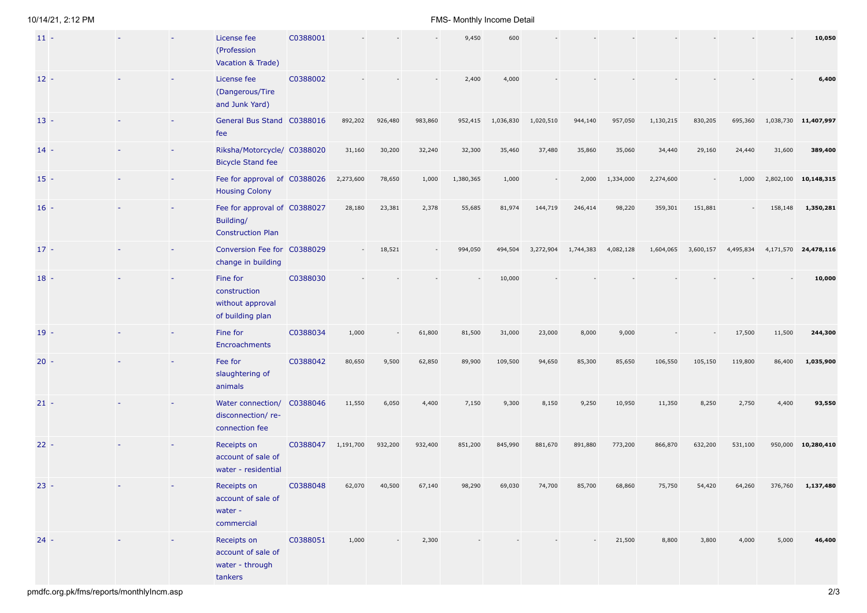## 10/14/21, 2:12 PM FMS- Monthly Income Detail

| $11 -$ |  | License fee<br>(Profession<br>Vacation & Trade)                       | C0388001 |           |         |         | 9,450     | 600       |           |           |           |           |           |           |           | 10,050               |
|--------|--|-----------------------------------------------------------------------|----------|-----------|---------|---------|-----------|-----------|-----------|-----------|-----------|-----------|-----------|-----------|-----------|----------------------|
| $12 -$ |  | License fee<br>(Dangerous/Tire<br>and Junk Yard)                      | C0388002 |           |         |         | 2,400     | 4,000     |           |           |           |           |           |           |           | 6,400                |
| $13 -$ |  | General Bus Stand C0388016<br>fee                                     |          | 892,202   | 926,480 | 983,860 | 952,415   | 1,036,830 | 1,020,510 | 944,140   | 957,050   | 1,130,215 | 830,205   | 695,360   | 1,038,730 | 11,407,997           |
| $14 -$ |  | Riksha/Motorcycle/ C0388020<br><b>Bicycle Stand fee</b>               |          | 31,160    | 30,200  | 32,240  | 32,300    | 35,460    | 37,480    | 35,860    | 35,060    | 34,440    | 29,160    | 24,440    | 31,600    | 389,400              |
| $15 -$ |  | Fee for approval of C0388026<br><b>Housing Colony</b>                 |          | 2,273,600 | 78,650  | 1,000   | 1,380,365 | 1,000     |           | 2,000     | 1,334,000 | 2,274,600 |           | 1,000     | 2,802,100 | 10,148,315           |
| $16 -$ |  | Fee for approval of C0388027<br>Building/<br><b>Construction Plan</b> |          | 28,180    | 23,381  | 2,378   | 55,685    | 81,974    | 144,719   | 246,414   | 98,220    | 359,301   | 151,881   |           | 158,148   | 1,350,281            |
| $17 -$ |  | Conversion Fee for C0388029<br>change in building                     |          |           | 18,521  |         | 994,050   | 494,504   | 3,272,904 | 1,744,383 | 4,082,128 | 1,604,065 | 3,600,157 | 4,495,834 |           | 4,171,570 24,478,116 |
| $18 -$ |  | Fine for<br>construction<br>without approval<br>of building plan      | C0388030 |           |         |         |           | 10,000    |           |           |           |           |           |           |           | 10,000               |
| $19 -$ |  | Fine for<br>Encroachments                                             | C0388034 | 1,000     |         | 61,800  | 81,500    | 31,000    | 23,000    | 8,000     | 9,000     |           |           | 17,500    | 11,500    | 244,300              |
| $20 -$ |  | Fee for<br>slaughtering of<br>animals                                 | C0388042 | 80,650    | 9,500   | 62,850  | 89,900    | 109,500   | 94,650    | 85,300    | 85,650    | 106,550   | 105,150   | 119,800   | 86,400    | 1,035,900            |
| $21 -$ |  | Water connection/ C0388046<br>disconnection/re-<br>connection fee     |          | 11,550    | 6,050   | 4,400   | 7,150     | 9,300     | 8,150     | 9,250     | 10,950    | 11,350    | 8,250     | 2,750     | 4,400     | 93,550               |
| $22 -$ |  | Receipts on<br>account of sale of<br>water - residential              | C0388047 | 1,191,700 | 932,200 | 932,400 | 851,200   | 845,990   | 881,670   | 891,880   | 773,200   | 866,870   | 632,200   | 531,100   | 950,000   | 10,280,410           |
| $23 -$ |  | Receipts on<br>account of sale of<br>water -<br>commercial            | C0388048 | 62,070    | 40,500  | 67,140  | 98,290    | 69,030    | 74,700    | 85,700    | 68,860    | 75,750    | 54,420    | 64,260    | 376,760   | 1,137,480            |
| $24 -$ |  | Receipts on<br>account of sale of<br>water - through<br>tankers       | C0388051 | 1,000     |         | 2,300   |           |           |           |           | 21,500    | 8,800     | 3,800     | 4,000     | 5,000     | 46,400               |